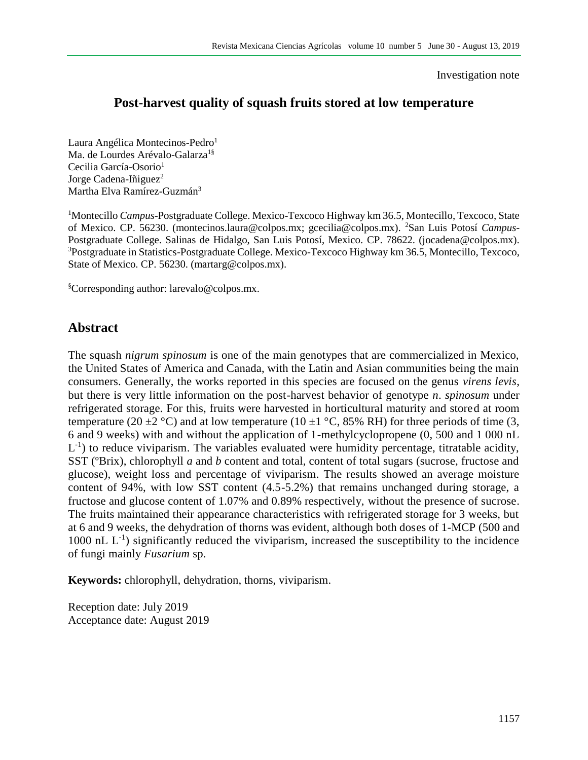#### Investigation note

# **Post-harvest quality of squash fruits stored at low temperature**

Laura Angélica Montecinos-Pedro<sup>1</sup> Ma. de Lourdes Arévalo-Galarza<sup>1§</sup> Cecilia García-Osorio<sup>1</sup> Jorge Cadena-Iñiguez<sup>2</sup> Martha Elva Ramírez-Guzmán<sup>3</sup>

<sup>1</sup>Montecillo *Campus*-Postgraduate College. Mexico-Texcoco Highway km 36.5, Montecillo, Texcoco, State of Mexico. CP. 56230. (montecinos.laura@colpos.mx; gcecilia@colpos.mx). 2San Luis Potosí *Campus*-Postgraduate College. Salinas de Hidalgo, San Luis Potosí, Mexico. CP. 78622. (jocadena@colpos.mx). <sup>3</sup>Postgraduate in Statistics-Postgraduate College. Mexico-Texcoco Highway km 36.5, Montecillo, Texcoco, State of Mexico. CP. 56230. (martarg@colpos.mx).

§Corresponding author: [larevalo@colpos.mx.](mailto:larevalo@colpos.mx)

## **Abstract**

The squash *nigrum spinosum* is one of the main genotypes that are commercialized in Mexico, the United States of America and Canada, with the Latin and Asian communities being the main consumers. Generally, the works reported in this species are focused on the genus *virens levis*, but there is very little information on the post-harvest behavior of genotype *n*. *spinosum* under refrigerated storage. For this, fruits were harvested in horticultural maturity and stored at room temperature (20  $\pm$ 2 °C) and at low temperature (10  $\pm$ 1 °C, 85% RH) for three periods of time (3, 6 and 9 weeks) with and without the application of 1-methylcyclopropene (0, 500 and 1 000 nL  $L^{-1}$ ) to reduce viviparism. The variables evaluated were humidity percentage, titratable acidity, SST (ºBrix), chlorophyll *a* and *b* content and total, content of total sugars (sucrose, fructose and glucose), weight loss and percentage of viviparism. The results showed an average moisture content of 94%, with low SST content (4.5-5.2%) that remains unchanged during storage, a fructose and glucose content of 1.07% and 0.89% respectively, without the presence of sucrose. The fruits maintained their appearance characteristics with refrigerated storage for 3 weeks, but at 6 and 9 weeks, the dehydration of thorns was evident, although both doses of 1-MCP (500 and 1000 nL  $L^{-1}$ ) significantly reduced the viviparism, increased the susceptibility to the incidence of fungi mainly *Fusarium* sp.

**Keywords:** chlorophyll, dehydration, thorns, viviparism.

Reception date: July 2019 Acceptance date: August 2019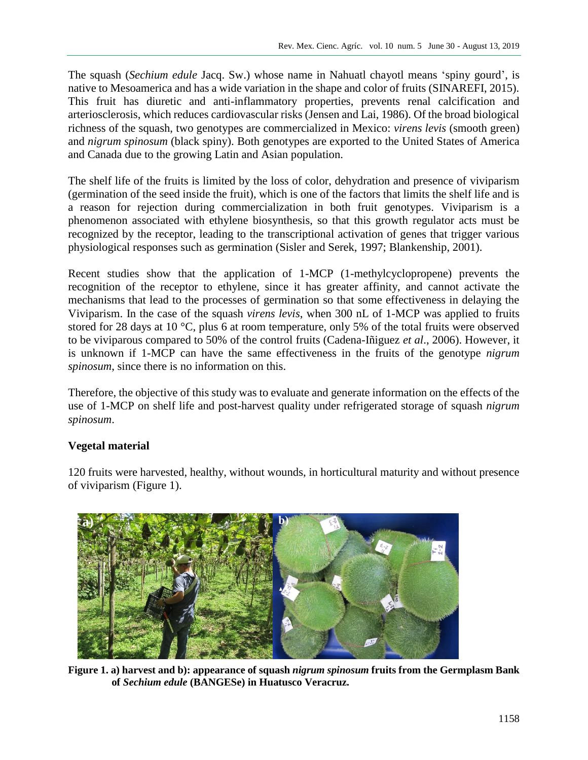The squash (*Sechium edule* Jacq. Sw.) whose name in Nahuatl chayotl means 'spiny gourd', is native to Mesoamerica and has a wide variation in the shape and color of fruits (SINAREFI, 2015). This fruit has diuretic and anti-inflammatory properties, prevents renal calcification and arteriosclerosis, which reduces cardiovascular risks (Jensen and Lai, 1986). Of the broad biological richness of the squash, two genotypes are commercialized in Mexico: *virens levis* (smooth green) and *nigrum spinosum* (black spiny). Both genotypes are exported to the United States of America and Canada due to the growing Latin and Asian population.

The shelf life of the fruits is limited by the loss of color, dehydration and presence of viviparism (germination of the seed inside the fruit), which is one of the factors that limits the shelf life and is a reason for rejection during commercialization in both fruit genotypes. Viviparism is a phenomenon associated with ethylene biosynthesis, so that this growth regulator acts must be recognized by the receptor, leading to the transcriptional activation of genes that trigger various physiological responses such as germination (Sisler and Serek, 1997; Blankenship, 2001).

Recent studies show that the application of 1-MCP (1-methylcyclopropene) prevents the recognition of the receptor to ethylene, since it has greater affinity, and cannot activate the mechanisms that lead to the processes of germination so that some effectiveness in delaying the Viviparism. In the case of the squash *virens levis*, when 300 nL of 1-MCP was applied to fruits stored for 28 days at 10 °C, plus 6 at room temperature, only 5% of the total fruits were observed to be viviparous compared to 50% of the control fruits (Cadena-Iñiguez *et al*., 2006). However, it is unknown if 1-MCP can have the same effectiveness in the fruits of the genotype *nigrum spinosum*, since there is no information on this.

Therefore, the objective of this study was to evaluate and generate information on the effects of the use of 1-MCP on shelf life and post-harvest quality under refrigerated storage of squash *nigrum spinosum*.

## **Vegetal material**

120 fruits were harvested, healthy, without wounds, in horticultural maturity and without presence of viviparism (Figure 1).



**Figure 1. a) harvest and b): appearance of squash** *nigrum spinosum* **fruits from the Germplasm Bank of** *Sechium edule* **(BANGESe) in Huatusco Veracruz.**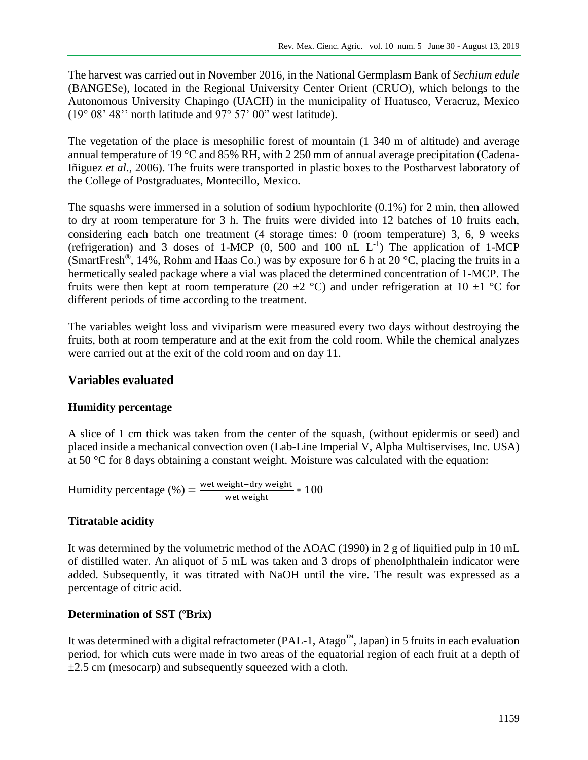The harvest was carried out in November 2016, in the National Germplasm Bank of *Sechium edule* (BANGESe), located in the Regional University Center Orient (CRUO), which belongs to the Autonomous University Chapingo (UACH) in the municipality of Huatusco, Veracruz, Mexico (19° 08' 48'' north latitude and 97° 57' 00" west latitude).

The vegetation of the place is mesophilic forest of mountain (1 340 m of altitude) and average annual temperature of 19 °C and 85% RH, with 2 250 mm of annual average precipitation (Cadena-Iñiguez *et al*., 2006). The fruits were transported in plastic boxes to the Postharvest laboratory of the College of Postgraduates, Montecillo, Mexico.

The squashs were immersed in a solution of sodium hypochlorite (0.1%) for 2 min, then allowed to dry at room temperature for 3 h. The fruits were divided into 12 batches of 10 fruits each, considering each batch one treatment (4 storage times: 0 (room temperature) 3, 6, 9 weeks (refrigeration) and 3 doses of 1-MCP  $(0, 500$  and  $100$  nL  $L^{-1}$ ) The application of 1-MCP (SmartFresh<sup>®</sup>, 14%, Rohm and Haas Co.) was by exposure for 6 h at 20 °C, placing the fruits in a hermetically sealed package where a vial was placed the determined concentration of 1-MCP. The fruits were then kept at room temperature (20  $\pm$ 2 °C) and under refrigeration at 10  $\pm$ 1 °C for different periods of time according to the treatment.

The variables weight loss and viviparism were measured every two days without destroying the fruits, both at room temperature and at the exit from the cold room. While the chemical analyzes were carried out at the exit of the cold room and on day 11.

## **Variables evaluated**

## **Humidity percentage**

A slice of 1 cm thick was taken from the center of the squash, (without epidermis or seed) and placed inside a mechanical convection oven (Lab-Line Imperial V, Alpha Multiservises, Inc. USA) at 50 °C for 8 days obtaining a constant weight. Moisture was calculated with the equation:

Humidity percentage (%) =  $\frac{\text{wet weight} - \text{dry weight}}{\text{wet weight}} * 100$ 

## **Titratable acidity**

It was determined by the volumetric method of the AOAC (1990) in 2 g of liquified pulp in 10 mL of distilled water. An aliquot of 5 mL was taken and 3 drops of phenolphthalein indicator were added. Subsequently, it was titrated with NaOH until the vire. The result was expressed as a percentage of citric acid.

## **Determination of SST (ºBrix)**

It was determined with a digital refractometer (PAL-1, Atago™, Japan) in 5 fruits in each evaluation period, for which cuts were made in two areas of the equatorial region of each fruit at a depth of  $\pm 2.5$  cm (mesocarp) and subsequently squeezed with a cloth.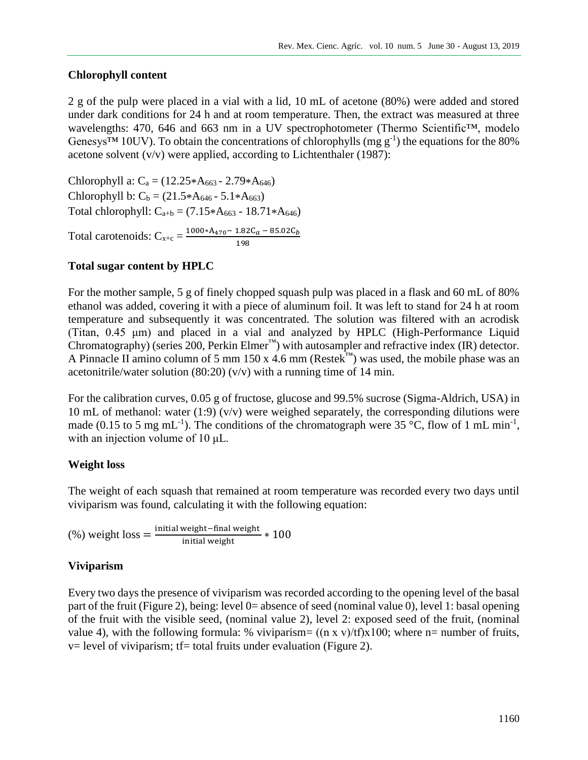#### **Chlorophyll content**

2 g of the pulp were placed in a vial with a lid, 10 mL of acetone (80%) were added and stored under dark conditions for 24 h and at room temperature. Then, the extract was measured at three wavelengths: 470, 646 and 663 nm in a UV spectrophotometer (Thermo Scientific™, modelo Genesys<sup>TM</sup> 10UV). To obtain the concentrations of chlorophylls (mg  $g^{-1}$ ) the equations for the 80% acetone solvent  $(v/v)$  were applied, according to Lichtenthaler (1987):

Chlorophyll a:  $C_a = (12.25*A_{663} - 2.79*A_{646})$ Chlorophyll b:  $C_b = (21.5*A_{646} - 5.1*A_{663})$ Total chlorophyll:  $C_{a+b} = (7.15*A_{663} - 18.71*A_{646})$ Total carotenoids:  $C_{x+c} = \frac{1000*A_{470} - 1.82C_a - 85.02C_b}{100}$ 198

### **Total sugar content by HPLC**

For the mother sample, 5 g of finely chopped squash pulp was placed in a flask and 60 mL of 80% ethanol was added, covering it with a piece of aluminum foil. It was left to stand for 24 h at room temperature and subsequently it was concentrated. The solution was filtered with an acrodisk (Titan, 0.45 μm) and placed in a vial and analyzed by HPLC (High-Performance Liquid Chromatography) (series 200, Perkin Elmer<sup>™</sup>) with autosampler and refractive index (IR) detector. A Pinnacle II amino column of 5 mm 150 x 4.6 mm (Restek™) was used, the mobile phase was an acetonitrile/water solution  $(80:20)$   $(v/v)$  with a running time of 14 min.

For the calibration curves, 0.05 g of fructose, glucose and 99.5% sucrose (Sigma-Aldrich, USA) in 10 mL of methanol: water (1:9) ( $v/v$ ) were weighed separately, the corresponding dilutions were made (0.15 to 5 mg mL<sup>-1</sup>). The conditions of the chromatograph were 35 °C, flow of 1 mL min<sup>-1</sup>, with an injection volume of 10 μL.

### **Weight loss**

The weight of each squash that remained at room temperature was recorded every two days until viviparism was found, calculating it with the following equation:

$$
(\%) weight loss = \frac{initial weight - final weight}{initial weight} * 100
$$

### **Viviparism**

Every two days the presence of viviparism was recorded according to the opening level of the basal part of the fruit (Figure 2), being: level 0= absence of seed (nominal value 0), level 1: basal opening of the fruit with the visible seed, (nominal value 2), level 2: exposed seed of the fruit, (nominal value 4), with the following formula: % viviparism=  $((n \times v)/t) \times 100$ ; where n= number of fruits,  $v=$  level of viviparism; tf= total fruits under evaluation (Figure 2).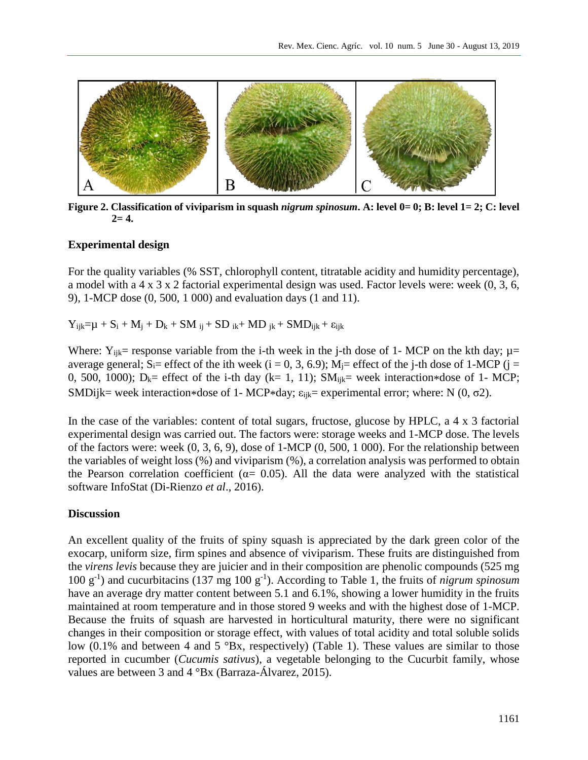

**Figure 2. Classification of viviparism in squash** *nigrum spinosum***. A: level 0= 0; B: level 1= 2; C: level**   $2=4.$ 

### **Experimental design**

For the quality variables (% SST, chlorophyll content, titratable acidity and humidity percentage), a model with a 4 x 3 x 2 factorial experimental design was used. Factor levels were: week (0, 3, 6, 9), 1-MCP dose (0, 500, 1 000) and evaluation days (1 and 11).

 $Y_{ijk}=\mu + S_i + M_j + D_k + SM_{ij} + SD_{ik} + MD_{ik} + SMD_{ijk} + \epsilon_{ijk}$ 

Where:  $Y_{ijk}$  response variable from the i-th week in the j-th dose of 1- MCP on the kth day;  $\mu$  = average general; S<sub>i</sub>= effect of the ith week (i = 0, 3, 6.9); M<sub>i</sub>= effect of the j-th dose of 1-MCP (j = 0, 500, 1000);  $D_k$ = effect of the i-th day (k= 1, 11); SM<sub>ijk</sub>= week interaction\*dose of 1- MCP; SMDijk= week interaction\*dose of 1- MCP\*day;  $\varepsilon_{ijk}$ = experimental error; where: N (0,  $\sigma$ 2).

In the case of the variables: content of total sugars, fructose, glucose by HPLC, a 4 x 3 factorial experimental design was carried out. The factors were: storage weeks and 1-MCP dose. The levels of the factors were: week (0, 3, 6, 9), dose of 1-MCP (0, 500, 1 000). For the relationship between the variables of weight loss (%) and viviparism (%), a correlation analysis was performed to obtain the Pearson correlation coefficient ( $\alpha$ = 0.05). All the data were analyzed with the statistical software InfoStat (Di-Rienzo *et al*., 2016).

### **Discussion**

An excellent quality of the fruits of spiny squash is appreciated by the dark green color of the exocarp, uniform size, firm spines and absence of viviparism. These fruits are distinguished from the *virens levis* because they are juicier and in their composition are phenolic compounds (525 mg 100 g-1 ) and cucurbitacins (137 mg 100 g-1 ). According to Table 1, the fruits of *nigrum spinosum* have an average dry matter content between 5.1 and 6.1%, showing a lower humidity in the fruits maintained at room temperature and in those stored 9 weeks and with the highest dose of 1-MCP. Because the fruits of squash are harvested in horticultural maturity, there were no significant changes in their composition or storage effect, with values of total acidity and total soluble solids low (0.1% and between 4 and 5  $\textdegree$ Bx, respectively) (Table 1). These values are similar to those reported in cucumber (*Cucumis sativus*), a vegetable belonging to the Cucurbit family, whose values are between 3 and 4 °Bx (Barraza-Álvarez, 2015).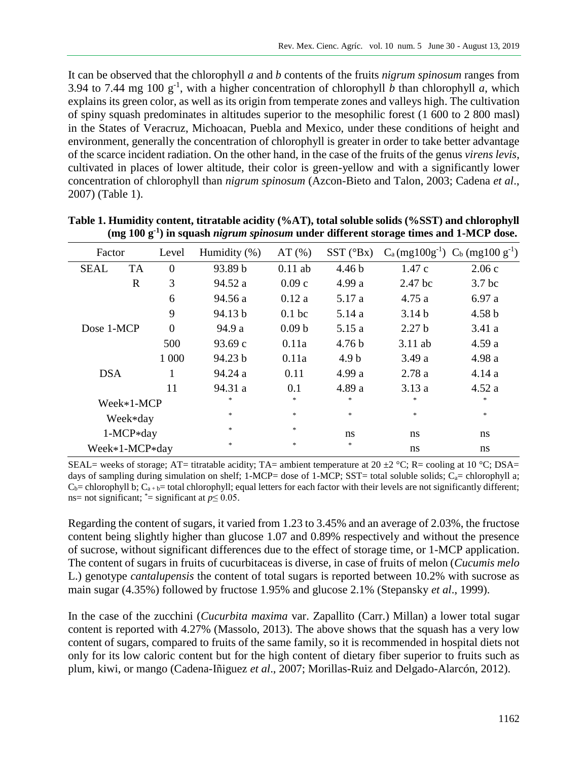It can be observed that the chlorophyll *a* and *b* contents of the fruits *nigrum spinosum* ranges from 3.94 to 7.44 mg 100  $g^{-1}$ , with a higher concentration of chlorophyll *b* than chlorophyll *a*, which explains its green color, as well as its origin from temperate zones and valleys high. The cultivation of spiny squash predominates in altitudes superior to the mesophilic forest (1 600 to 2 800 masl) in the States of Veracruz, Michoacan, Puebla and Mexico, under these conditions of height and environment, generally the concentration of chlorophyll is greater in order to take better advantage of the scarce incident radiation. On the other hand, in the case of the fruits of the genus *virens levis*, cultivated in places of lower altitude, their color is green-yellow and with a significantly lower concentration of chlorophyll than *nigrum spinosum* (Azcon-Bieto and Talon, 2003; Cadena *et al*., 2007) (Table 1).

| Factor         |           | Level          | Humidity $(\% )$ | AT(%)             | $SST(^{\circ}Bx)$ |                   | $C_a$ (mg100g <sup>-1</sup> ) $C_b$ (mg100 g <sup>-1</sup> ) |
|----------------|-----------|----------------|------------------|-------------------|-------------------|-------------------|--------------------------------------------------------------|
| <b>SEAL</b>    | <b>TA</b> | $\overline{0}$ | 93.89 b          | $0.11$ ab         | 4.46 <sub>b</sub> | 1.47c             | 2.06c                                                        |
|                | R         | 3              | 94.52 a          | 0.09c             | 4.99 a            | 2.47 bc           | 3.7 <sub>bc</sub>                                            |
|                |           | 6              | 94.56 a          | 0.12a             | 5.17 a            | 4.75 a            | 6.97a                                                        |
|                |           | 9              | 94.13 b          | 0.1 <sub>bc</sub> | 5.14 a            | 3.14 <sub>b</sub> | 4.58 <sub>b</sub>                                            |
| Dose 1-MCP     |           | $\overline{0}$ | 94.9 a           | 0.09 <sub>b</sub> | 5.15 a            | 2.27 <sub>b</sub> | 3.41a                                                        |
|                |           | 500            | 93.69 c          | 0.11a             | 4.76 <sub>b</sub> | $3.11$ ab         | 4.59a                                                        |
|                |           | 1 000          | 94.23 b          | 0.11a             | 4.9 <sub>b</sub>  | 3.49 a            | 4.98 a                                                       |
| <b>DSA</b>     |           | 1              | 94.24 a          | 0.11              | 4.99 a            | 2.78a             | 4.14a                                                        |
|                |           | 11             | 94.31 a          | 0.1               | 4.89 a            | 3.13a             | 4.52a                                                        |
| Week*1-MCP     |           |                | *                | $\ast$            | *                 | *                 | *                                                            |
| Week*day       |           |                | $\ast$           | $\ast$            | $\ast$            | $\ast$            | $\ast$                                                       |
| 1-MCP*day      |           |                | *                | $\ast$            | ns                | ns                | ns                                                           |
| Week*1-MCP*day |           |                | *                | $\ast$            | *                 | ns                | ns                                                           |

**Table 1. Humidity content, titratable acidity (%AT), total soluble solids (%SST) and chlorophyll (mg 100 g-1 ) in squash** *nigrum spinosum* **under different storage times and 1-MCP dose.**

SEAL= weeks of storage; AT= titratable acidity; TA= ambient temperature at 20  $\pm$ 2 °C; R= cooling at 10 °C; DSA= days of sampling during simulation on shelf; 1-MCP= dose of 1-MCP; SST= total soluble solids;  $C_a$ = chlorophyll a;  $C_b$  = chlorophyll b;  $C_{a+b}$  = total chlorophyll; equal letters for each factor with their levels are not significantly different; ns= not significant;  $\text{*}$ = significant at  $p \leq 0.05$ .

Regarding the content of sugars, it varied from 1.23 to 3.45% and an average of 2.03%, the fructose content being slightly higher than glucose 1.07 and 0.89% respectively and without the presence of sucrose, without significant differences due to the effect of storage time, or 1-MCP application. The content of sugars in fruits of cucurbitaceas is diverse, in case of fruits of melon (*Cucumis melo* L.) genotype *cantalupensis* the content of total sugars is reported between 10.2% with sucrose as main sugar (4.35%) followed by fructose 1.95% and glucose 2.1% (Stepansky *et al*., 1999).

In the case of the zucchini (*Cucurbita maxima* var. Zapallito (Carr.) Millan) a lower total sugar content is reported with 4.27% (Massolo, 2013). The above shows that the squash has a very low content of sugars, compared to fruits of the same family, so it is recommended in hospital diets not only for its low caloric content but for the high content of dietary fiber superior to fruits such as plum, kiwi, or mango (Cadena-Iñiguez *et al*., 2007; Morillas-Ruiz and Delgado-Alarcón, 2012).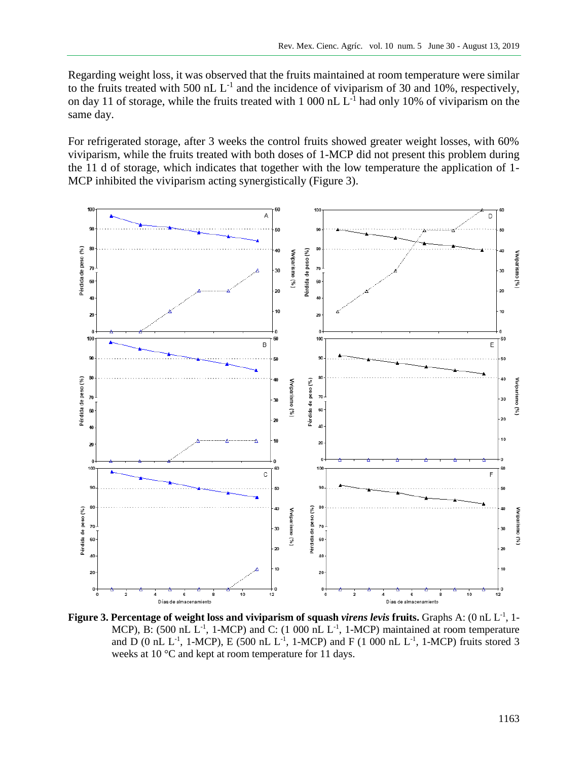Regarding weight loss, it was observed that the fruits maintained at room temperature were similar to the fruits treated with 500 nL  $L^{-1}$  and the incidence of viviparism of 30 and 10%, respectively, on day 11 of storage, while the fruits treated with 1 000 nL  $L^{-1}$  had only 10% of viviparism on the same day.

For refrigerated storage, after 3 weeks the control fruits showed greater weight losses, with 60% viviparism, while the fruits treated with both doses of 1-MCP did not present this problem during the 11 d of storage, which indicates that together with the low temperature the application of 1- MCP inhibited the viviparism acting synergistically (Figure 3).



Figure 3. Percentage of weight loss and viviparism of squash *virens levis* fruits. Graphs A: (0 nL L<sup>-1</sup>, 1-MCP), B: (500 nL  $L^{-1}$ , 1-MCP) and C: (1 000 nL  $L^{-1}$ , 1-MCP) maintained at room temperature and D (0 nL L<sup>-1</sup>, 1-MCP), E (500 nL L<sup>-1</sup>, 1-MCP) and F (1 000 nL L<sup>-1</sup>, 1-MCP) fruits stored 3 weeks at 10 °C and kept at room temperature for 11 days.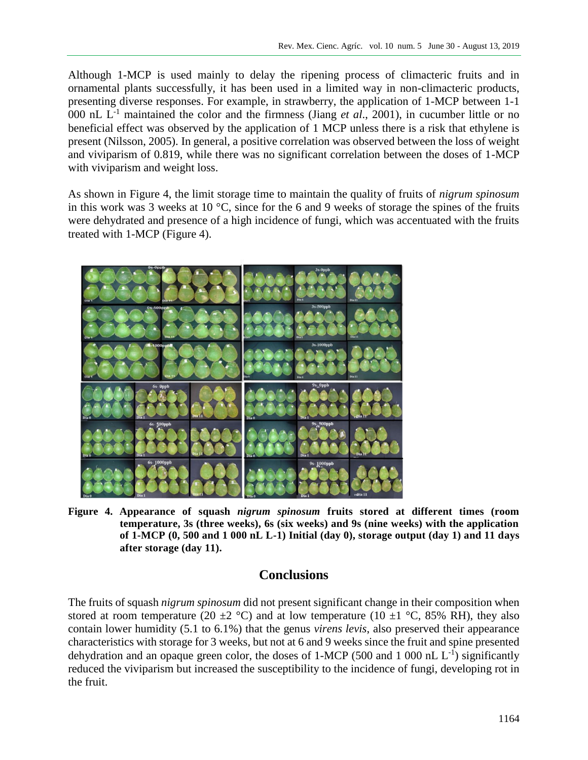Although 1-MCP is used mainly to delay the ripening process of climacteric fruits and in ornamental plants successfully, it has been used in a limited way in non-climacteric products, presenting diverse responses. For example, in strawberry, the application of 1-MCP between 1-1 000 nL  $L^{-1}$  maintained the color and the firmness (Jiang *et al.*, 2001), in cucumber little or no beneficial effect was observed by the application of 1 MCP unless there is a risk that ethylene is present (Nilsson, 2005). In general, a positive correlation was observed between the loss of weight and viviparism of 0.819, while there was no significant correlation between the doses of 1-MCP with viviparism and weight loss.

As shown in Figure 4, the limit storage time to maintain the quality of fruits of *nigrum spinosum* in this work was 3 weeks at 10 °C, since for the 6 and 9 weeks of storage the spines of the fruits were dehydrated and presence of a high incidence of fungi, which was accentuated with the fruits treated with 1-MCP (Figure 4).



**Figure 4. Appearance of squash** *nigrum spinosum* **fruits stored at different times (room temperature, 3s (three weeks), 6s (six weeks) and 9s (nine weeks) with the application of 1-MCP (0, 500 and 1 000 nL L-1) Initial (day 0), storage output (day 1) and 11 days after storage (day 11).**

### **Conclusions**

The fruits of squash *nigrum spinosum* did not present significant change in their composition when stored at room temperature (20  $\pm$ 2 °C) and at low temperature (10  $\pm$ 1 °C, 85% RH), they also contain lower humidity (5.1 to 6.1%) that the genus *virens levis*, also preserved their appearance characteristics with storage for 3 weeks, but not at 6 and 9 weeks since the fruit and spine presented dehydration and an opaque green color, the doses of 1-MCP (500 and 1 000 nL  $L^{-1}$ ) significantly reduced the viviparism but increased the susceptibility to the incidence of fungi, developing rot in the fruit.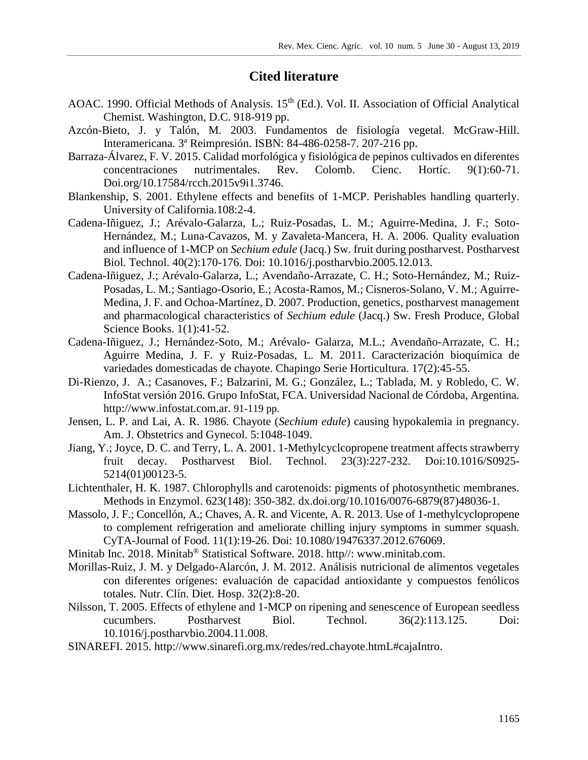# **Cited literature**

- AOAC. 1990. Official Methods of Analysis. 15<sup>th</sup> (Ed.). Vol. II. Association of Official Analytical Chemist. Washington, D.C. 918-919 pp.
- Azcón-Bieto, J. y Talón, M. 2003. Fundamentos de fisiología vegetal. McGraw-Hill. Interamericana. 3ª Reimpresión. ISBN: 84-486-0258-7. 207-216 pp.
- Barraza-Álvarez, F. V. 2015. Calidad morfológica y fisiológica de pepinos cultivados en diferentes concentraciones nutrimentales. Rev. Colomb. Cienc. Hortíc. 9(1):60-71. Doi.org/10.17584/rcch.2015v9i1.3746.
- Blankenship, S. 2001. Ethylene effects and benefits of 1-MCP. Perishables handling quarterly. University of California.108:2-4.
- Cadena-Iñiguez, J.; Arévalo-Galarza, L.; Ruiz-Posadas, L. M.; Aguirre-Medina, J. F.; Soto-Hernández, M.; Luna-Cavazos, M. y Zavaleta-Mancera, H. A. 2006. Quality evaluation and influence of 1-MCP on *Sechium edule* (Jacq.) Sw. fruit during postharvest. Postharvest Biol. Technol. 40(2):170-176. Doi: 10.1016/j.postharvbio.2005.12.013.
- Cadena-Iñiguez, J.; Arévalo-Galarza, L.; Avendaño-Arrazate, C. H.; Soto-Hernández, M.; Ruiz-Posadas, L. M.; Santiago-Osorio, E.; Acosta-Ramos, M.; Cisneros-Solano, V. M.; Aguirre-Medina, J. F. and Ochoa-Martínez, D. 2007. Production, genetics, postharvest management and pharmacological characteristics of *Sechium edule* (Jacq.) Sw. Fresh Produce, Global Science Books. 1(1):41-52.
- Cadena-Iñiguez, J.; Hernández-Soto, M.; Arévalo- Galarza, M.L.; Avendaño-Arrazate, C. H.; Aguirre Medina, J. F. y Ruiz-Posadas, L. M. 2011. Caracterización bioquímica de variedades domesticadas de chayote. Chapingo Serie Horticultura. 17(2):45-55.
- Di-Rienzo, J. A.; Casanoves, F.; Balzarini, M. G.; González, L.; Tablada, M. y Robledo, C. W. InfoStat versión 2016. Grupo InfoStat, FCA. Universidad Nacional de Córdoba, Argentina. [http://www.infostat.com.ar.](http://www.infostat.com.ar/) 91-119 pp.
- Jensen, L. P. and Lai, A. R. 1986. Chayote (*Sechium edule*) causing hypokalemia in pregnancy. Am. J. Obstetrics and Gynecol. 5:1048-1049.
- Jiang, Y.; Joyce, D. C. and Terry, L. A. 2001. 1-Methylcyclcopropene treatment affects strawberry fruit decay. Postharvest Biol. Technol. 23(3):227-232. Doi:10.1016/S0925- 5214(01)00123-5.
- Lichtenthaler, H. K. 1987. Chlorophylls and carotenoids: pigments of photosynthetic membranes. Methods in Enzymol. 623(148): 350-382. dx.doi.org/10.1016/0076-6879(87)48036-1.
- Massolo, J. F.; Concellón, A.; Chaves, A. R. and Vicente, A. R. 2013. Use of 1-methylcyclopropene to complement refrigeration and ameliorate chilling injury symptoms in summer squash. CyTA-Journal of Food. 11(1):19-26. Doi: 10.1080/19476337.2012.676069.
- Minitab Inc. 2018. Minitab® Statistical Software. 2018. http//: [www.minitab.com.](http://www.minitab.com/)
- Morillas-Ruiz, J. M. y Delgado-Alarcón, J. M. 2012. Análisis nutricional de alimentos vegetales con diferentes orígenes: evaluación de capacidad antioxidante y compuestos fenólicos totales. Nutr. Clín. Diet. Hosp. 32(2):8-20.
- Nilsson, T. 2005. Effects of ethylene and 1-MCP on ripening and senescence of European seedless cucumbers. Postharvest Biol. Technol. 36(2):113.125. Doi: 10.1016/j.postharvbio.2004.11.008.
- SINAREFI. 2015. [http://www.sinarefi.org.mx/redes/red-chayote.htmL#cajaIntro.](http://www.sinarefi.org.mx/redes/red-chayote.htmL#cajaIntro)